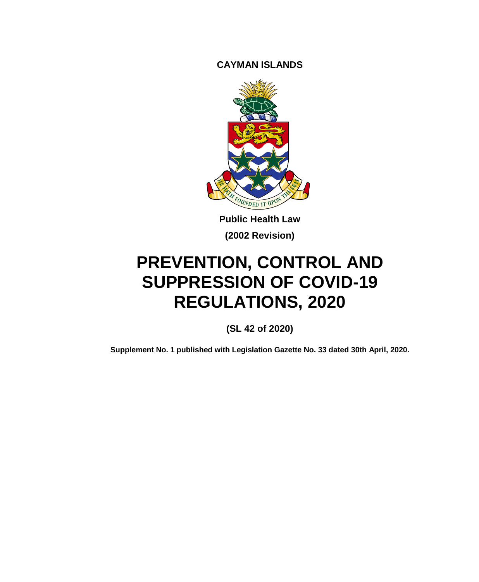**CAYMAN ISLANDS**



**Public Health Law (2002 Revision)**

# **PREVENTION, CONTROL AND SUPPRESSION OF COVID-19 REGULATIONS, 2020**

**(SL 42 of 2020)**

**Supplement No. 1 published with Legislation Gazette No. 33 dated 30th April, 2020.**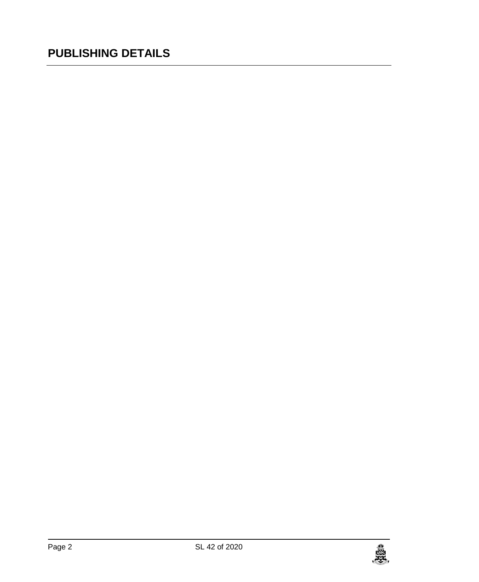### **PUBLISHING DETAILS**

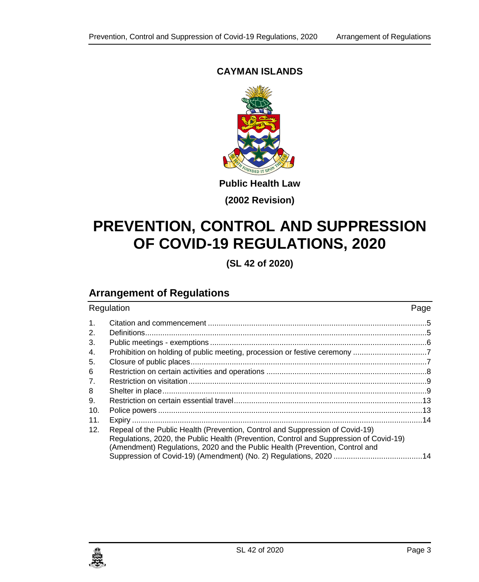#### **CAYMAN ISLANDS**



**Public Health Law**

**(2002 Revision)**

## **PREVENTION, CONTROL AND SUPPRESSION OF COVID-19 REGULATIONS, 2020**

**(SL 42 of 2020)**

### **Arrangement of Regulations**

| Regulation     |                                                                                                                                                                                                                                                         | Page |
|----------------|---------------------------------------------------------------------------------------------------------------------------------------------------------------------------------------------------------------------------------------------------------|------|
| $\mathbf{1}$ . |                                                                                                                                                                                                                                                         |      |
| 2.             |                                                                                                                                                                                                                                                         |      |
| 3.             |                                                                                                                                                                                                                                                         |      |
| 4.             |                                                                                                                                                                                                                                                         |      |
| 5.             |                                                                                                                                                                                                                                                         |      |
| 6              |                                                                                                                                                                                                                                                         |      |
| 7.             |                                                                                                                                                                                                                                                         |      |
| 8              |                                                                                                                                                                                                                                                         |      |
| 9.             |                                                                                                                                                                                                                                                         |      |
| 10.            |                                                                                                                                                                                                                                                         |      |
| 11.            |                                                                                                                                                                                                                                                         |      |
| 12.            | Repeal of the Public Health (Prevention, Control and Suppression of Covid-19)<br>Regulations, 2020, the Public Health (Prevention, Control and Suppression of Covid-19)<br>(Amendment) Regulations, 2020 and the Public Health (Prevention, Control and |      |

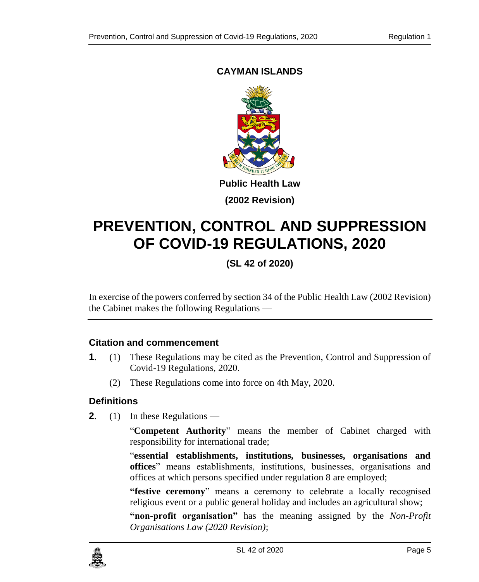### <span id="page-4-0"></span>**CAYMAN ISLANDS**



**(2002 Revision)**

## **PREVENTION, CONTROL AND SUPPRESSION OF COVID-19 REGULATIONS, 2020**

**(SL 42 of 2020)**

In exercise of the powers conferred by section 34 of the Public Health Law (2002 Revision) the Cabinet makes the following Regulations —

#### **1. Citation and commencement**

- **1**. (1) These Regulations may be cited as the Prevention, Control and Suppression of Covid-19 Regulations, 2020.
	- (2) These Regulations come into force on 4th May, 2020.

#### <span id="page-4-1"></span>**2. Definitions**

**2**. (1) In these Regulations —

"**Competent Authority**" means the member of Cabinet charged with responsibility for international trade;

"**essential establishments, institutions, businesses, organisations and offices**" means establishments, institutions, businesses, organisations and offices at which persons specified under regulation 8 are employed;

**"festive ceremony**" means a ceremony to celebrate a locally recognised religious event or a public general holiday and includes an agricultural show;

**"non-profit organisation"** has the meaning assigned by the *Non-Profit Organisations Law (2020 Revision)*;

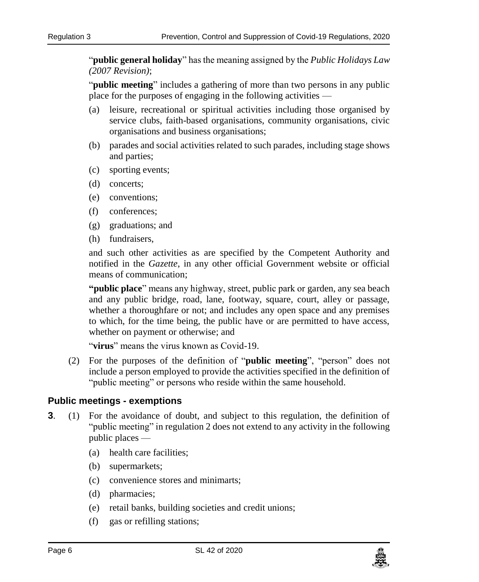"**public general holiday**" has the meaning assigned by the *Public Holidays Law (2007 Revision)*;

"**public meeting**" includes a gathering of more than two persons in any public place for the purposes of engaging in the following activities —

- (a) leisure, recreational or spiritual activities including those organised by service clubs, faith-based organisations, community organisations, civic organisations and business organisations;
- (b) parades and social activities related to such parades, including stage shows and parties;
- (c) sporting events;
- (d) concerts;
- (e) conventions;
- (f) conferences;
- (g) graduations; and
- (h) fundraisers,

and such other activities as are specified by the Competent Authority and notified in the *Gazette*, in any other official Government website or official means of communication;

**"public place**" means any highway, street, public park or garden, any sea beach and any public bridge, road, lane, footway, square, court, alley or passage, whether a thoroughfare or not; and includes any open space and any premises to which, for the time being, the public have or are permitted to have access, whether on payment or otherwise; and

"**virus**" means the virus known as Covid-19.

(2) For the purposes of the definition of "**public meeting**", "person" does not include a person employed to provide the activities specified in the definition of "public meeting" or persons who reside within the same household.

#### <span id="page-5-0"></span>**3. Public meetings - exemptions**

- **3**. (1) For the avoidance of doubt, and subject to this regulation, the definition of "public meeting" in regulation 2 does not extend to any activity in the following public places —
	- (a) health care facilities;
	- (b) supermarkets;
	- (c) convenience stores and minimarts;
	- (d) pharmacies;
	- (e) retail banks, building societies and credit unions;
	- (f) gas or refilling stations;

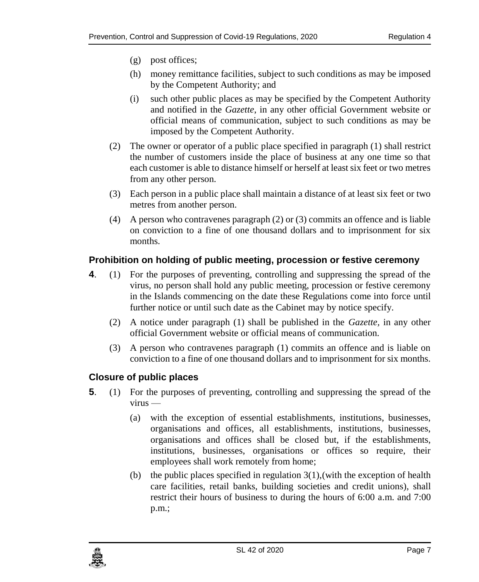- (g) post offices;
- (h) money remittance facilities, subject to such conditions as may be imposed by the Competent Authority; and
- (i) such other public places as may be specified by the Competent Authority and notified in the *Gazette*, in any other official Government website or official means of communication, subject to such conditions as may be imposed by the Competent Authority.
- (2) The owner or operator of a public place specified in paragraph (1) shall restrict the number of customers inside the place of business at any one time so that each customer is able to distance himself or herself at least six feet or two metres from any other person.
- (3) Each person in a public place shall maintain a distance of at least six feet or two metres from another person.
- (4) A person who contravenes paragraph (2) or (3) commits an offence and is liable on conviction to a fine of one thousand dollars and to imprisonment for six months.

#### <span id="page-6-0"></span>**4. Prohibition on holding of public meeting, procession or festive ceremony**

- **4**. (1) For the purposes of preventing, controlling and suppressing the spread of the virus, no person shall hold any public meeting, procession or festive ceremony in the Islands commencing on the date these Regulations come into force until further notice or until such date as the Cabinet may by notice specify.
	- (2) A notice under paragraph (1) shall be published in the *Gazette,* in any other official Government website or official means of communication.
	- (3) A person who contravenes paragraph (1) commits an offence and is liable on conviction to a fine of one thousand dollars and to imprisonment for six months.

#### <span id="page-6-1"></span>**5. Closure of public places**

- **5**. (1) For the purposes of preventing, controlling and suppressing the spread of the virus —
	- (a) with the exception of essential establishments, institutions, businesses, organisations and offices, all establishments, institutions, businesses, organisations and offices shall be closed but, if the establishments, institutions, businesses, organisations or offices so require, their employees shall work remotely from home;
	- (b) the public places specified in regulation  $3(1)$ , (with the exception of health care facilities, retail banks, building societies and credit unions), shall restrict their hours of business to during the hours of 6:00 a.m. and 7:00 p.m.;

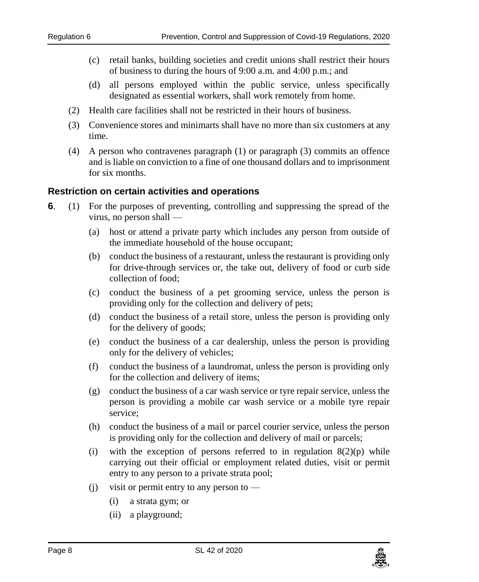- (c) retail banks, building societies and credit unions shall restrict their hours of business to during the hours of 9:00 a.m. and 4:00 p.m.; and
- (d) all persons employed within the public service, unless specifically designated as essential workers, shall work remotely from home.
- (2) Health care facilities shall not be restricted in their hours of business.
- (3) Convenience stores and minimarts shall have no more than six customers at any time.
- (4) A person who contravenes paragraph (1) or paragraph (3) commits an offence and is liable on conviction to a fine of one thousand dollars and to imprisonment for six months.

#### <span id="page-7-0"></span>**6 Restriction on certain activities and operations**

- **6**. (1) For the purposes of preventing, controlling and suppressing the spread of the virus, no person shall —
	- (a) host or attend a private party which includes any person from outside of the immediate household of the house occupant;
	- (b) conduct the business of a restaurant, unless the restaurant is providing only for drive-through services or, the take out, delivery of food or curb side collection of food;
	- (c) conduct the business of a pet grooming service, unless the person is providing only for the collection and delivery of pets;
	- (d) conduct the business of a retail store, unless the person is providing only for the delivery of goods;
	- (e) conduct the business of a car dealership, unless the person is providing only for the delivery of vehicles;
	- (f) conduct the business of a laundromat, unless the person is providing only for the collection and delivery of items;
	- (g) conduct the business of a car wash service or tyre repair service, unless the person is providing a mobile car wash service or a mobile tyre repair service;
	- (h) conduct the business of a mail or parcel courier service, unless the person is providing only for the collection and delivery of mail or parcels;
	- (i) with the exception of persons referred to in regulation  $8(2)(p)$  while carrying out their official or employment related duties, visit or permit entry to any person to a private strata pool;
	- (i) visit or permit entry to any person to  $-$ 
		- (i) a strata gym; or
		- (ii) a playground;

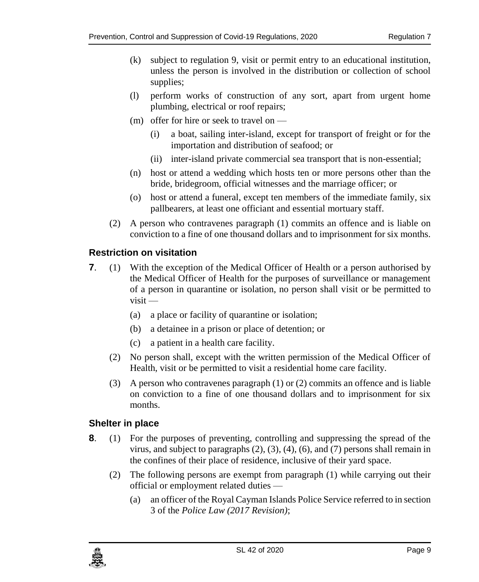- (k) subject to regulation 9, visit or permit entry to an educational institution, unless the person is involved in the distribution or collection of school supplies;
- (l) perform works of construction of any sort, apart from urgent home plumbing, electrical or roof repairs;
- (m) offer for hire or seek to travel on
	- (i) a boat, sailing inter-island, except for transport of freight or for the importation and distribution of seafood; or
	- (ii) inter-island private commercial sea transport that is non-essential;
- (n) host or attend a wedding which hosts ten or more persons other than the bride, bridegroom, official witnesses and the marriage officer; or
- (o) host or attend a funeral, except ten members of the immediate family, six pallbearers, at least one officiant and essential mortuary staff.
- (2) A person who contravenes paragraph (1) commits an offence and is liable on conviction to a fine of one thousand dollars and to imprisonment for six months.

#### <span id="page-8-0"></span>**7. Restriction on visitation**

- **7.** (1) With the exception of the Medical Officer of Health or a person authorised by the Medical Officer of Health for the purposes of surveillance or management of a person in quarantine or isolation, no person shall visit or be permitted to visit —
	- (a) a place or facility of quarantine or isolation;
	- (b) a detainee in a prison or place of detention; or
	- (c) a patient in a health care facility.
	- (2) No person shall, except with the written permission of the Medical Officer of Health, visit or be permitted to visit a residential home care facility.
	- (3) A person who contravenes paragraph (1) or (2) commits an offence and is liable on conviction to a fine of one thousand dollars and to imprisonment for six months.

#### <span id="page-8-1"></span>**8 Shelter in place**

- **8**. (1) For the purposes of preventing, controlling and suppressing the spread of the virus, and subject to paragraphs (2), (3), (4), (6), and (7) persons shall remain in the confines of their place of residence, inclusive of their yard space.
	- (2) The following persons are exempt from paragraph (1) while carrying out their official or employment related duties —
		- (a) an officer of the Royal Cayman Islands Police Service referred to in section 3 of the *Police Law (2017 Revision)*;

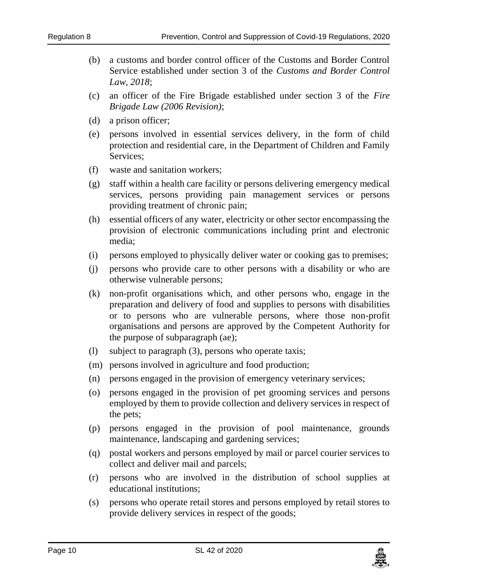- (b) a customs and border control officer of the Customs and Border Control Service established under section 3 of the *Customs and Border Control Law, 2018*;
- (c) an officer of the Fire Brigade established under section 3 of the *Fire Brigade Law (2006 Revision)*;
- (d) a prison officer;
- (e) persons involved in essential services delivery, in the form of child protection and residential care, in the Department of Children and Family Services;
- (f) waste and sanitation workers;
- (g) staff within a health care facility or persons delivering emergency medical services, persons providing pain management services or persons providing treatment of chronic pain;
- (h) essential officers of any water, electricity or other sector encompassing the provision of electronic communications including print and electronic media;
- (i) persons employed to physically deliver water or cooking gas to premises;
- (j) persons who provide care to other persons with a disability or who are otherwise vulnerable persons;
- (k) non-profit organisations which, and other persons who, engage in the preparation and delivery of food and supplies to persons with disabilities or to persons who are vulnerable persons, where those non-profit organisations and persons are approved by the Competent Authority for the purpose of subparagraph (ae);
- (l) subject to paragraph (3), persons who operate taxis;
- (m) persons involved in agriculture and food production;
- (n) persons engaged in the provision of emergency veterinary services;
- (o) persons engaged in the provision of pet grooming services and persons employed by them to provide collection and delivery services in respect of the pets;
- (p) persons engaged in the provision of pool maintenance, grounds maintenance, landscaping and gardening services;
- (q) postal workers and persons employed by mail or parcel courier services to collect and deliver mail and parcels;
- (r) persons who are involved in the distribution of school supplies at educational institutions;
- (s) persons who operate retail stores and persons employed by retail stores to provide delivery services in respect of the goods;

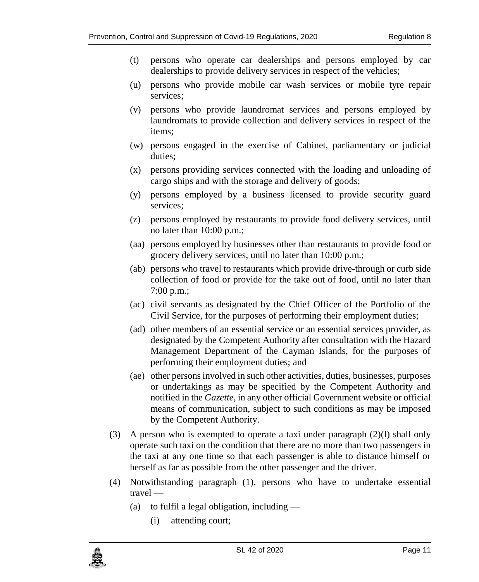- (t) persons who operate car dealerships and persons employed by car dealerships to provide delivery services in respect of the vehicles;
- (u) persons who provide mobile car wash services or mobile tyre repair services;
- (v) persons who provide laundromat services and persons employed by laundromats to provide collection and delivery services in respect of the items;
- (w) persons engaged in the exercise of Cabinet, parliamentary or judicial duties;
- (x) persons providing services connected with the loading and unloading of cargo ships and with the storage and delivery of goods;
- (y) persons employed by a business licensed to provide security guard services;
- (z) persons employed by restaurants to provide food delivery services, until no later than 10:00 p.m.;
- (aa) persons employed by businesses other than restaurants to provide food or grocery delivery services, until no later than 10:00 p.m.;
- (ab) persons who travel to restaurants which provide drive-through or curb side collection of food or provide for the take out of food, until no later than 7:00 p.m.;
- (ac) civil servants as designated by the Chief Officer of the Portfolio of the Civil Service, for the purposes of performing their employment duties;
- (ad) other members of an essential service or an essential services provider, as designated by the Competent Authority after consultation with the Hazard Management Department of the Cayman Islands, for the purposes of performing their employment duties; and
- (ae) other persons involved in such other activities, duties, businesses, purposes or undertakings as may be specified by the Competent Authority and notified in the *Gazette*, in any other official Government website or official means of communication, subject to such conditions as may be imposed by the Competent Authority.
- (3) A person who is exempted to operate a taxi under paragraph (2)(l) shall only operate such taxi on the condition that there are no more than two passengers in the taxi at any one time so that each passenger is able to distance himself or herself as far as possible from the other passenger and the driver.
- (4) Notwithstanding paragraph (1), persons who have to undertake essential travel —
	- (a) to fulfil a legal obligation, including  $-$ 
		- (i) attending court;

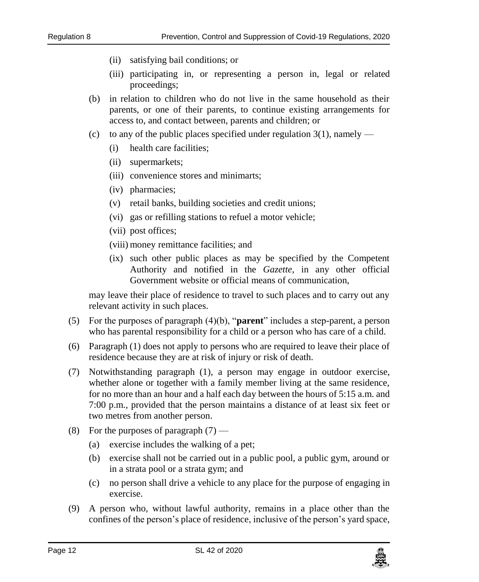- (ii) satisfying bail conditions; or
- (iii) participating in, or representing a person in, legal or related proceedings;
- (b) in relation to children who do not live in the same household as their parents, or one of their parents, to continue existing arrangements for access to, and contact between, parents and children; or
- (c) to any of the public places specified under regulation  $3(1)$ , namely
	- (i) health care facilities;
	- (ii) supermarkets;
	- (iii) convenience stores and minimarts;
	- (iv) pharmacies;
	- (v) retail banks, building societies and credit unions;
	- (vi) gas or refilling stations to refuel a motor vehicle;
	- (vii) post offices;
	- (viii) money remittance facilities; and
	- (ix) such other public places as may be specified by the Competent Authority and notified in the *Gazette*, in any other official Government website or official means of communication,

may leave their place of residence to travel to such places and to carry out any relevant activity in such places.

- (5) For the purposes of paragraph (4)(b), "**parent**" includes a step-parent, a person who has parental responsibility for a child or a person who has care of a child.
- (6) Paragraph (1) does not apply to persons who are required to leave their place of residence because they are at risk of injury or risk of death.
- (7) Notwithstanding paragraph (1), a person may engage in outdoor exercise, whether alone or together with a family member living at the same residence, for no more than an hour and a half each day between the hours of 5:15 a.m. and 7:00 p.m., provided that the person maintains a distance of at least six feet or two metres from another person.
- (8) For the purposes of paragraph  $(7)$ 
	- (a) exercise includes the walking of a pet;
	- (b) exercise shall not be carried out in a public pool, a public gym, around or in a strata pool or a strata gym; and
	- (c) no person shall drive a vehicle to any place for the purpose of engaging in exercise.
- (9) A person who, without lawful authority, remains in a place other than the confines of the person's place of residence, inclusive of the person's yard space,

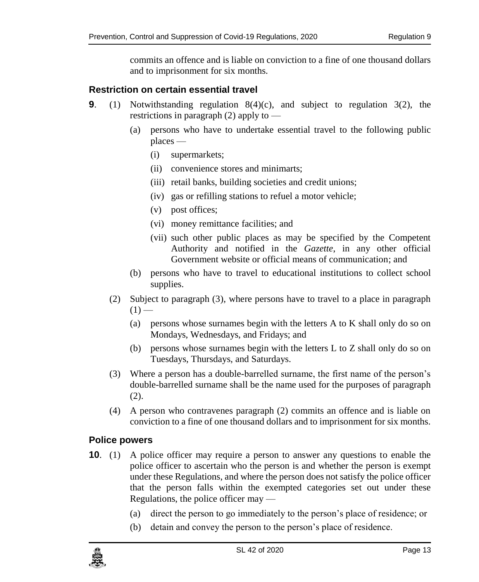commits an offence and is liable on conviction to a fine of one thousand dollars and to imprisonment for six months.

#### <span id="page-12-0"></span>**9. Restriction on certain essential travel**

- **9**. (1) Notwithstanding regulation 8(4)(c), and subject to regulation 3(2), the restrictions in paragraph (2) apply to —
	- (a) persons who have to undertake essential travel to the following public places —
		- (i) supermarkets;
		- (ii) convenience stores and minimarts;
		- (iii) retail banks, building societies and credit unions;
		- (iv) gas or refilling stations to refuel a motor vehicle;
		- (v) post offices;
		- (vi) money remittance facilities; and
		- (vii) such other public places as may be specified by the Competent Authority and notified in the *Gazette*, in any other official Government website or official means of communication; and
	- (b) persons who have to travel to educational institutions to collect school supplies.
	- (2) Subject to paragraph (3), where persons have to travel to a place in paragraph  $(1)$  —
		- (a) persons whose surnames begin with the letters A to K shall only do so on Mondays, Wednesdays, and Fridays; and
		- (b) persons whose surnames begin with the letters L to Z shall only do so on Tuesdays, Thursdays, and Saturdays.
	- (3) Where a person has a double-barrelled surname, the first name of the person's double-barrelled surname shall be the name used for the purposes of paragraph (2).
	- (4) A person who contravenes paragraph (2) commits an offence and is liable on conviction to a fine of one thousand dollars and to imprisonment for six months.

#### <span id="page-12-1"></span>**10. Police powers**

- **10**. (1) A police officer may require a person to answer any questions to enable the police officer to ascertain who the person is and whether the person is exempt under these Regulations, and where the person does not satisfy the police officer that the person falls within the exempted categories set out under these Regulations, the police officer may —
	- (a) direct the person to go immediately to the person's place of residence; or
	- (b) detain and convey the person to the person's place of residence.